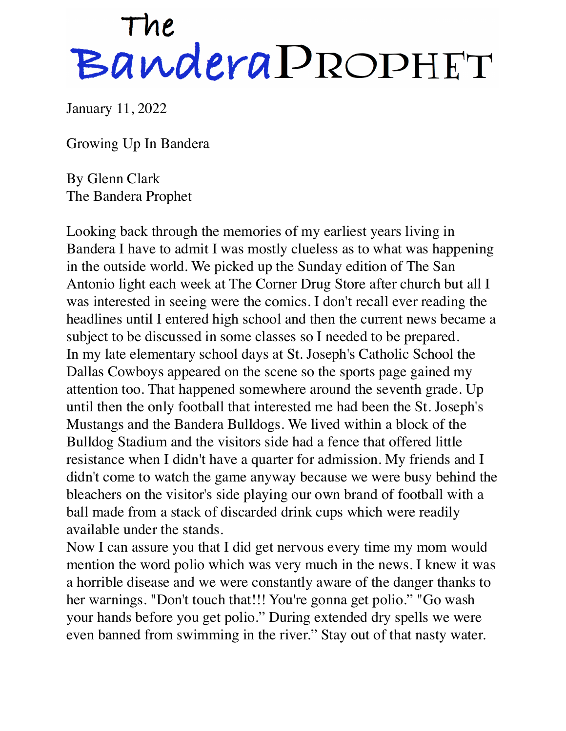## The BanderaPROPHET

January 11, 2022

Growing Up In Bandera

By Glenn Clark The Bandera Prophet

Looking back through the memories of my earliest years living in Bandera I have to admit I was mostly clueless as to what was happening in the outside world. We picked up the Sunday edition of The San Antonio light each week at The Corner Drug Store after church but all I was interested in seeing were the comics. I don't recall ever reading the headlines until I entered high school and then the current news became a subject to be discussed in some classes so I needed to be prepared. In my late elementary school days at St. Joseph's Catholic School the Dallas Cowboys appeared on the scene so the sports page gained my attention too. That happened somewhere around the seventh grade. Up until then the only football that interested me had been the St. Joseph's Mustangs and the Bandera Bulldogs. We lived within a block of the Bulldog Stadium and the visitors side had a fence that offered little resistance when I didn't have a quarter for admission. My friends and I didn't come to watch the game anyway because we were busy behind the bleachers on the visitor's side playing our own brand of football with a ball made from a stack of discarded drink cups which were readily available under the stands.

Now I can assure you that I did get nervous every time my mom would mention the word polio which was very much in the news. I knew it was a horrible disease and we were constantly aware of the danger thanks to her warnings. "Don't touch that!!! You're gonna get polio." "Go wash your hands before you get polio." During extended dry spells we were even banned from swimming in the river." Stay out of that nasty water.